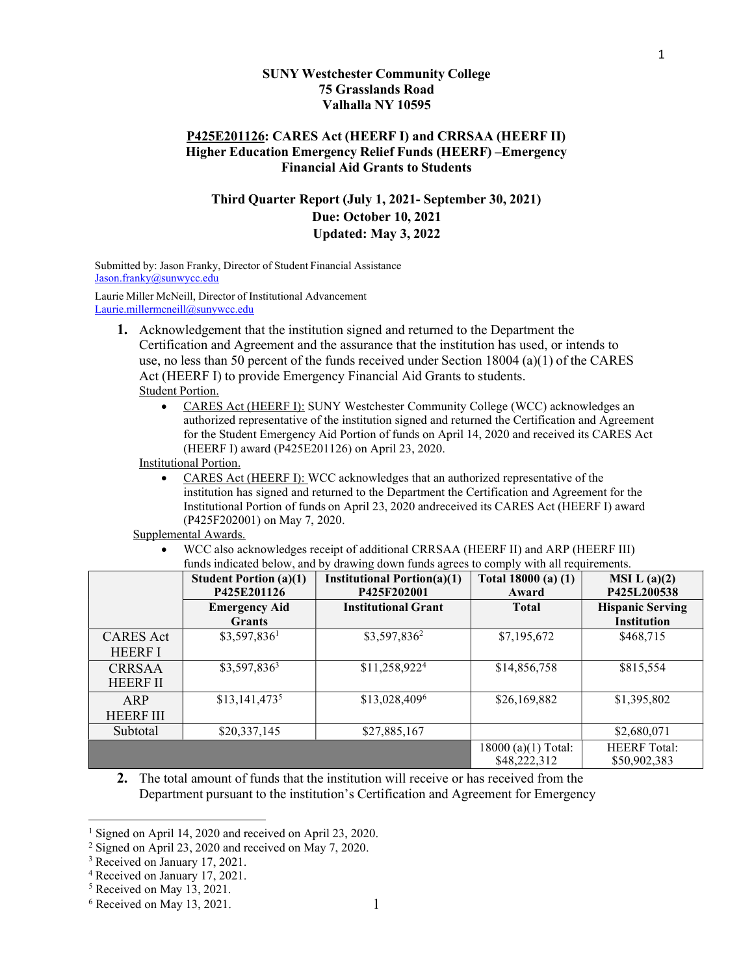#### SUNY Westchester Community College 75 Grasslands Road Valhalla NY 10595

## P425E201126: CARES Act (HEERF I) and CRRSAA (HEERF II) Higher Education Emergency Relief Funds (HEERF) –Emergency Financial Aid Grants to Students

# Third Quarter Report (July 1, 2021- September 30, 2021) Due: October 10, 2021 Updated: May 3, 2022

Submitted by: Jason Franky, Director of Student Financial Assistance Jason.franky@sunwycc.edu

Laurie Miller McNeill, Director of Institutional Advancement Laurie.millermcneill@sunywcc.edu

- 1. Acknowledgement that the institution signed and returned to the Department the Certification and Agreement and the assurance that the institution has used, or intends to use, no less than 50 percent of the funds received under Section 18004 (a)(1) of the CARES Act (HEERF I) to provide Emergency Financial Aid Grants to students. Student Portion.
	- CARES Act (HEERF I): SUNY Westchester Community College (WCC) acknowledges an authorized representative of the institution signed and returned the Certification and Agreement for the Student Emergency Aid Portion of funds on April 14, 2020 and received its CARES Act (HEERF I) award (P425E201126) on April 23, 2020.

Institutional Portion.

 CARES Act (HEERF I): WCC acknowledges that an authorized representative of the institution has signed and returned to the Department the Certification and Agreement for the Institutional Portion of funds on April 23, 2020 andreceived its CARES Act (HEERF I) award (P425F202001) on May 7, 2020.

#### Supplemental Awards.

 WCC also acknowledges receipt of additional CRRSAA (HEERF II) and ARP (HEERF III) funds indicated below, and by drawing down funds agrees to comply with all requirements.

|                                    | <b>Student Portion (a)(1)</b><br>P425E201126 | <b>Institutional Portion(a)(1)</b><br>P425F202001 | Total 18000 (a) (1)<br>Award       | MSI L(a)(2)<br>P425L200538                    |
|------------------------------------|----------------------------------------------|---------------------------------------------------|------------------------------------|-----------------------------------------------|
|                                    | <b>Emergency Aid</b><br><b>Grants</b>        | <b>Institutional Grant</b>                        | <b>Total</b>                       | <b>Hispanic Serving</b><br><b>Institution</b> |
| <b>CARES</b> Act<br><b>HEERF I</b> | $$3,597,836^1$                               | \$3,597,836 <sup>2</sup>                          | \$7,195,672                        | \$468,715                                     |
| <b>CRRSAA</b><br><b>HEERF II</b>   | $$3,597,836^3$                               | \$11,258,922 <sup>4</sup>                         | \$14,856,758                       | \$815,554                                     |
| ARP<br><b>HEERF III</b>            | $$13,141,473^5$                              | \$13,028,4096                                     | \$26,169,882                       | \$1,395,802                                   |
| Subtotal                           | \$20,337,145                                 | \$27,885,167                                      |                                    | \$2,680,071                                   |
|                                    |                                              |                                                   | 18000(a)(1) Total:<br>\$48,222,312 | <b>HEERF</b> Total:<br>\$50,902,383           |

2. The total amount of funds that the institution will receive or has received from the Department pursuant to the institution's Certification and Agreement for Emergency 1

<sup>&</sup>lt;sup>1</sup> Signed on April 14, 2020 and received on April 23, 2020.

<sup>&</sup>lt;sup>2</sup> Signed on April 23, 2020 and received on May 7, 2020.

<sup>&</sup>lt;sup>3</sup> Received on January 17, 2021.

<sup>4</sup> Received on January 17, 2021.

<sup>5</sup> Received on May 13, 2021.

 $6$  Received on May 13, 2021.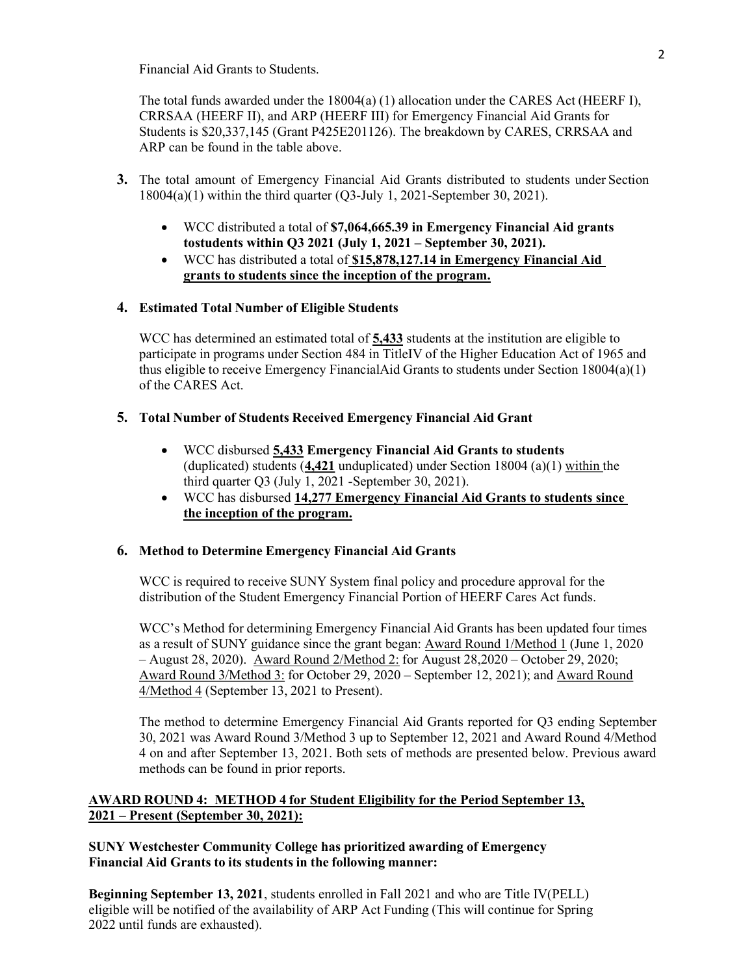Financial Aid Grants to Students.

The total funds awarded under the 18004(a) (1) allocation under the CARES Act (HEERF I), CRRSAA (HEERF II), and ARP (HEERF III) for Emergency Financial Aid Grants for Students is \$20,337,145 (Grant P425E201126). The breakdown by CARES, CRRSAA and ARP can be found in the table above.

- 3. The total amount of Emergency Financial Aid Grants distributed to students under Section 18004(a)(1) within the third quarter (Q3-July 1, 2021-September 30, 2021).
	- WCC distributed a total of \$7,064,665.39 in Emergency Financial Aid grants to students within Q3 2021 (July 1, 2021 – September 30, 2021).
	- WCC has distributed a total of \$15,878,127.14 in Emergency Financial Aid grants to students since the inception of the program.

# 4. Estimated Total Number of Eligible Students

WCC has determined an estimated total of  $\frac{5.433}{1.6}$  students at the institution are eligible to participate in programs under Section 484 in TitleIV of the Higher Education Act of 1965 and thus eligible to receive Emergency FinancialAid Grants to students under Section 18004(a)(1) of the CARES Act.

# 5. Total Number of Students Received Emergency Financial Aid Grant

- WCC disbursed 5,433 Emergency Financial Aid Grants to students (duplicated) students  $(4,421$  unduplicated) under Section 18004 (a)(1) within the third quarter Q3 (July 1, 2021 - September 30, 2021).
- WCC has disbursed 14,277 Emergency Financial Aid Grants to students since the inception of the program.

## 6. Method to Determine Emergency Financial Aid Grants

WCC is required to receive SUNY System final policy and procedure approval for the distribution of the Student Emergency Financial Portion of HEERF Cares Act funds.

WCC's Method for determining Emergency Financial Aid Grants has been updated four times as a result of SUNY guidance since the grant began: Award Round 1/Method 1 (June 1, 2020 – August 28, 2020). Award Round 2/Method 2: for August 28,2020 – October 29, 2020; Award Round 3/Method 3: for October 29, 2020 – September 12, 2021); and Award Round 4/Method 4 (September 13, 2021 to Present).

The method to determine Emergency Financial Aid Grants reported for Q3 ending September 30, 2021 was Award Round 3/Method 3 up to September 12, 2021 and Award Round 4/Method 4 on and after September 13, 2021. Both sets of methods are presented below. Previous award methods can be found in prior reports.

# AWARD ROUND 4: METHOD 4 for Student Eligibility for the Period September 13, 2021 – Present (September 30, 2021):

# SUNY Westchester Community College has prioritized awarding of Emergency Financial Aid Grants to its students in the following manner:

Beginning September 13, 2021, students enrolled in Fall 2021 and who are Title IV(PELL) eligible will be notified of the availability of ARP Act Funding (This will continue for Spring 2022 until funds are exhausted).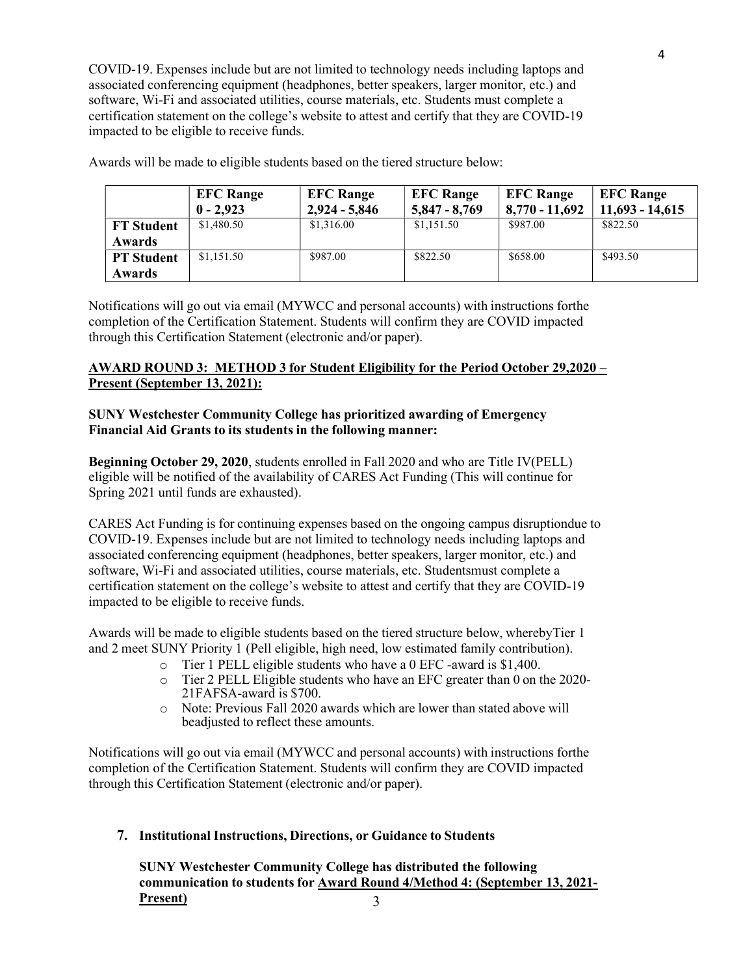COVID-19. Expenses include but are not limited to technology needs including laptops and associated conferencing equipment (headphones, better speakers, larger monitor, etc.) and software, Wi-Fi and associated utilities, course materials, etc. Students must complete a certification statement on the college's website to attest and certify that they are COVID-19 impacted to be eligible to receive funds.

|                   | <b>EFC Range</b><br>$0 - 2.923$ | <b>EFC Range</b><br>$2,924 - 5,846$ | <b>EFC Range</b><br>$5,847 - 8,769$ | <b>EFC Range</b><br>$8,770 - 11,692$ | <b>EFC Range</b><br>$11,693 - 14,615$ |
|-------------------|---------------------------------|-------------------------------------|-------------------------------------|--------------------------------------|---------------------------------------|
| <b>FT</b> Student | \$1,480.50                      | \$1,316.00                          | \$1,151.50                          | \$987.00                             | \$822.50                              |
| <b>Awards</b>     |                                 |                                     |                                     |                                      |                                       |
| <b>PT</b> Student | \$1,151.50                      | \$987.00                            | \$822.50                            | \$658.00                             | \$493.50                              |
| <b>Awards</b>     |                                 |                                     |                                     |                                      |                                       |

Awards will be made to eligible students based on the tiered structure below:

Notifications will go out via email (MYWCC and personal accounts) with instructions forthe completion of the Certification Statement. Students will confirm they are COVID impacted through this Certification Statement (electronic and/or paper).

# AWARD ROUND 3: METHOD 3 for Student Eligibility for the Period October 29,2020 – Present (September 13, 2021):

# SUNY Westchester Community College has prioritized awarding of Emergency Financial Aid Grants to its students in the following manner:

Beginning October 29, 2020, students enrolled in Fall 2020 and who are Title IV(PELL) eligible will be notified of the availability of CARES Act Funding (This will continue for Spring 2021 until funds are exhausted).

CARES Act Funding is for continuing expenses based on the ongoing campus disruptiondue to COVID-19. Expenses include but are not limited to technology needs including laptops and associated conferencing equipment (headphones, better speakers, larger monitor, etc.) and software, Wi-Fi and associated utilities, course materials, etc. Studentsmust complete a certification statement on the college's website to attest and certify that they are COVID-19 impacted to be eligible to receive funds.

Awards will be made to eligible students based on the tiered structure below, wherebyTier 1 and 2 meet SUNY Priority 1 (Pell eligible, high need, low estimated family contribution).

- o Tier 1 PELL eligible students who have a 0 EFC -award is \$1,400.
- o Tier 2 PELL Eligible students who have an EFC greater than 0 on the 2020- 21FAFSA-award is \$700.
- o Note: Previous Fall 2020 awards which are lower than stated above will beadjusted to reflect these amounts.

Notifications will go out via email (MYWCC and personal accounts) with instructions forthe completion of the Certification Statement. Students will confirm they are COVID impacted through this Certification Statement (electronic and/or paper).

# 7. Institutional Instructions, Directions, or Guidance to Students

SUNY Westchester Community College has distributed the following communication to students for Award Round 4/Method 4: (September 13, 2021- Present) 3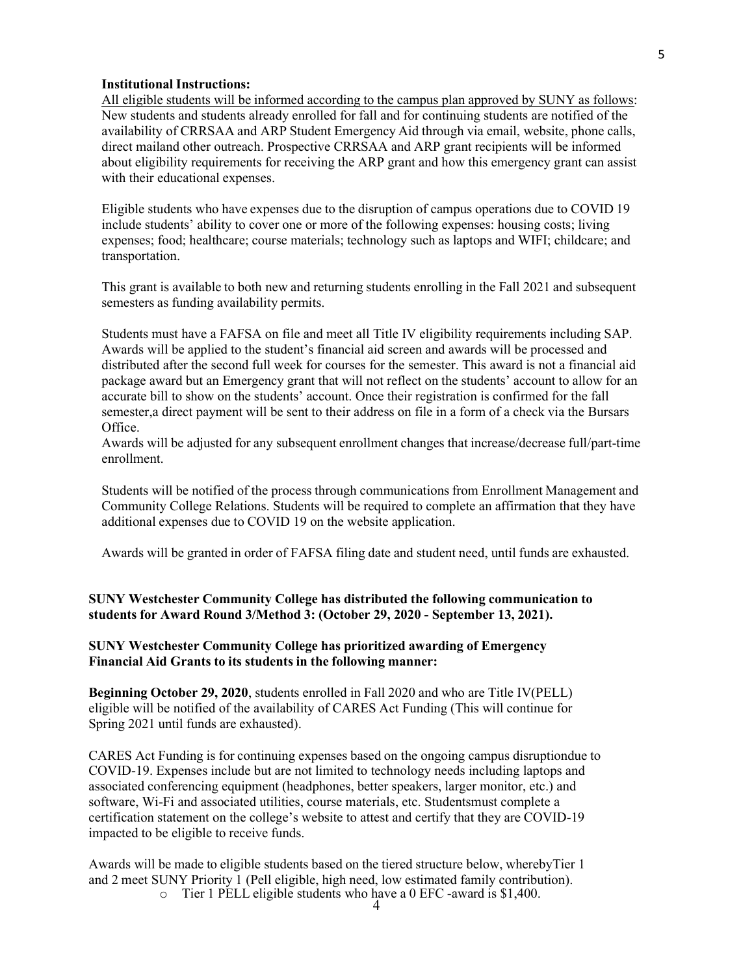#### Institutional Instructions:

All eligible students will be informed according to the campus plan approved by SUNY as follows: New students and students already enrolled for fall and for continuing students are notified of the availability of CRRSAA and ARP Student Emergency Aid through via email, website, phone calls, direct mailand other outreach. Prospective CRRSAA and ARP grant recipients will be informed about eligibility requirements for receiving the ARP grant and how this emergency grant can assist with their educational expenses.

Eligible students who have expenses due to the disruption of campus operations due to COVID 19 include students' ability to cover one or more of the following expenses: housing costs; living expenses; food; healthcare; course materials; technology such as laptops and WIFI; childcare; and transportation.

This grant is available to both new and returning students enrolling in the Fall 2021 and subsequent semesters as funding availability permits.

Students must have a FAFSA on file and meet all Title IV eligibility requirements including SAP. Awards will be applied to the student's financial aid screen and awards will be processed and distributed after the second full week for courses for the semester. This award is not a financial aid package award but an Emergency grant that will not reflect on the students' account to allow for an accurate bill to show on the students' account. Once their registration is confirmed for the fall semester,a direct payment will be sent to their address on file in a form of a check via the Bursars Office.

Awards will be adjusted for any subsequent enrollment changes that increase/decrease full/part-time enrollment.

Students will be notified of the process through communications from Enrollment Management and Community College Relations. Students will be required to complete an affirmation that they have additional expenses due to COVID 19 on the website application.

Awards will be granted in order of FAFSA filing date and student need, until funds are exhausted.

#### SUNY Westchester Community College has distributed the following communication to students for Award Round 3/Method 3: (October 29, 2020 - September 13, 2021).

#### SUNY Westchester Community College has prioritized awarding of Emergency Financial Aid Grants to its students in the following manner:

Beginning October 29, 2020, students enrolled in Fall 2020 and who are Title IV(PELL) eligible will be notified of the availability of CARES Act Funding (This will continue for Spring 2021 until funds are exhausted).

CARES Act Funding is for continuing expenses based on the ongoing campus disruptiondue to COVID-19. Expenses include but are not limited to technology needs including laptops and associated conferencing equipment (headphones, better speakers, larger monitor, etc.) and software, Wi-Fi and associated utilities, course materials, etc. Studentsmust complete a certification statement on the college's website to attest and certify that they are COVID-19 impacted to be eligible to receive funds.

Awards will be made to eligible students based on the tiered structure below, wherebyTier 1 and 2 meet SUNY Priority 1 (Pell eligible, high need, low estimated family contribution).  $\circ$  Tier 1 PELL eligible students who have a 0 EFC -award is \$1,400.